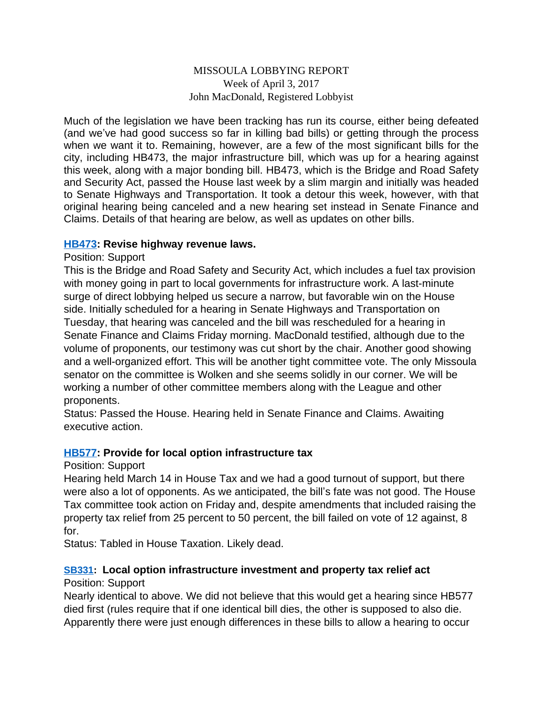### MISSOULA LOBBYING REPORT Week of April 3, 2017 John MacDonald, Registered Lobbyist

Much of the legislation we have been tracking has run its course, either being defeated (and we've had good success so far in killing bad bills) or getting through the process when we want it to. Remaining, however, are a few of the most significant bills for the city, including HB473, the major infrastructure bill, which was up for a hearing against this week, along with a major bonding bill. HB473, which is the Bridge and Road Safety and Security Act, passed the House last week by a slim margin and initially was headed to Senate Highways and Transportation. It took a detour this week, however, with that original hearing being canceled and a new hearing set instead in Senate Finance and Claims. Details of that hearing are below, as well as updates on other bills.

### **[HB473](http://laws.leg.mt.gov/legprd/LAW0210W$BSIV.ActionQuery?P_BILL_NO1=473&P_BLTP_BILL_TYP_CD=HB&Z_ACTION=Find&P_SESS=20171): Revise highway revenue laws.**

### Position: Support

This is the Bridge and Road Safety and Security Act, which includes a fuel tax provision with money going in part to local governments for infrastructure work. A last-minute surge of direct lobbying helped us secure a narrow, but favorable win on the House side. Initially scheduled for a hearing in Senate Highways and Transportation on Tuesday, that hearing was canceled and the bill was rescheduled for a hearing in Senate Finance and Claims Friday morning. MacDonald testified, although due to the volume of proponents, our testimony was cut short by the chair. Another good showing and a well-organized effort. This will be another tight committee vote. The only Missoula senator on the committee is Wolken and she seems solidly in our corner. We will be working a number of other committee members along with the League and other proponents.

Status: Passed the House. Hearing held in Senate Finance and Claims. Awaiting executive action.

### **[HB577](http://laws.leg.mt.gov/legprd/LAW0210W$BSIV.ActionQuery?P_BILL_NO1=577&P_BLTP_BILL_TYP_CD=HB&Z_ACTION=Find&P_SESS=20171): Provide for local option infrastructure tax**

### Position: Support

Hearing held March 14 in House Tax and we had a good turnout of support, but there were also a lot of opponents. As we anticipated, the bill's fate was not good. The House Tax committee took action on Friday and, despite amendments that included raising the property tax relief from 25 percent to 50 percent, the bill failed on vote of 12 against, 8 for.

Status: Tabled in House Taxation. Likely dead.

# **[SB331:](http://laws.leg.mt.gov/legprd/LAW0210W$BSIV.ActionQuery?P_BILL_NO1=331&P_BLTP_BILL_TYP_CD=SB&Z_ACTION=Find&P_SESS=20171) Local option infrastructure investment and property tax relief act**

# Position: Support

Nearly identical to above. We did not believe that this would get a hearing since HB577 died first (rules require that if one identical bill dies, the other is supposed to also die. Apparently there were just enough differences in these bills to allow a hearing to occur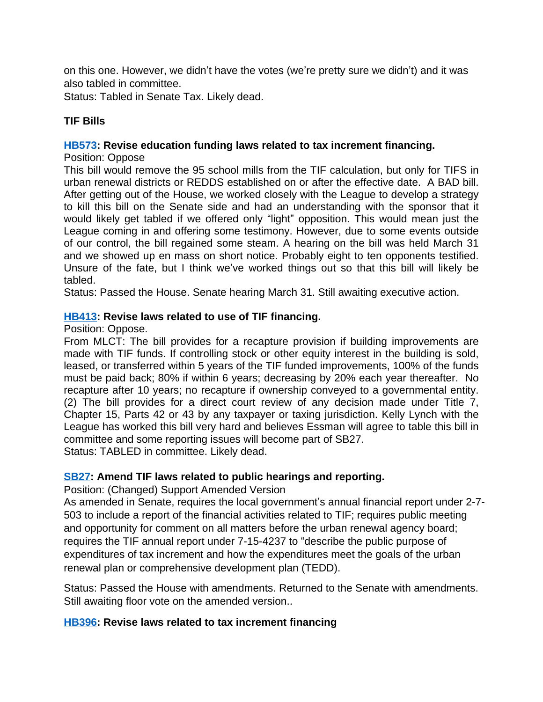on this one. However, we didn't have the votes (we're pretty sure we didn't) and it was also tabled in committee.

Status: Tabled in Senate Tax. Likely dead.

# **TIF Bills**

#### **[HB573](http://laws.leg.mt.gov/legprd/LAW0210W$BSIV.ActionQuery?P_BILL_NO1=573&P_BLTP_BILL_TYP_CD=HB&Z_ACTION=Find&P_SESS=20171): Revise education funding laws related to tax increment financing.**

Position: Oppose

This bill would remove the 95 school mills from the TIF calculation, but only for TIFS in urban renewal districts or REDDS established on or after the effective date. A BAD bill. After getting out of the House, we worked closely with the League to develop a strategy to kill this bill on the Senate side and had an understanding with the sponsor that it would likely get tabled if we offered only "light" opposition. This would mean just the League coming in and offering some testimony. However, due to some events outside of our control, the bill regained some steam. A hearing on the bill was held March 31 and we showed up en mass on short notice. Probably eight to ten opponents testified. Unsure of the fate, but I think we've worked things out so that this bill will likely be tabled.

Status: Passed the House. Senate hearing March 31. Still awaiting executive action.

### **[HB413](http://laws.leg.mt.gov/legprd/LAW0210W$BSIV.ActionQuery?P_BILL_NO1=413&P_BLTP_BILL_TYP_CD=HB&Z_ACTION=Find&P_SESS=20171): Revise laws related to use of TIF financing.**

Position: Oppose.

From MLCT: The bill provides for a recapture provision if building improvements are made with TIF funds. If controlling stock or other equity interest in the building is sold, leased, or transferred within 5 years of the TIF funded improvements, 100% of the funds must be paid back; 80% if within 6 years; decreasing by 20% each year thereafter. No recapture after 10 years; no recapture if ownership conveyed to a governmental entity. (2) The bill provides for a direct court review of any decision made under Title 7, Chapter 15, Parts 42 or 43 by any taxpayer or taxing jurisdiction. Kelly Lynch with the League has worked this bill very hard and believes Essman will agree to table this bill in committee and some reporting issues will become part of SB27. Status: TABLED in committee. Likely dead.

#### **[SB27](http://laws.leg.mt.gov/legprd/LAW0210W$BSIV.ActionQuery?P_BILL_NO1=27&P_BLTP_BILL_TYP_CD=SB&Z_ACTION=Find&P_SESS=20171): Amend TIF laws related to public hearings and reporting.**

Position: (Changed) Support Amended Version

As amended in Senate, requires the local government's annual financial report under 2-7- 503 to include a report of the financial activities related to TIF; requires public meeting and opportunity for comment on all matters before the urban renewal agency board; requires the TIF annual report under 7-15-4237 to "describe the public purpose of expenditures of tax increment and how the expenditures meet the goals of the urban renewal plan or comprehensive development plan (TEDD).

Status: Passed the House with amendments. Returned to the Senate with amendments. Still awaiting floor vote on the amended version..

### **[HB396](http://laws.leg.mt.gov/legprd/LAW0210W$BSIV.ActionQuery?P_BILL_NO1=396&P_BLTP_BILL_TYP_CD=HB&Z_ACTION=Find&P_SESS=20171): Revise laws related to tax increment financing**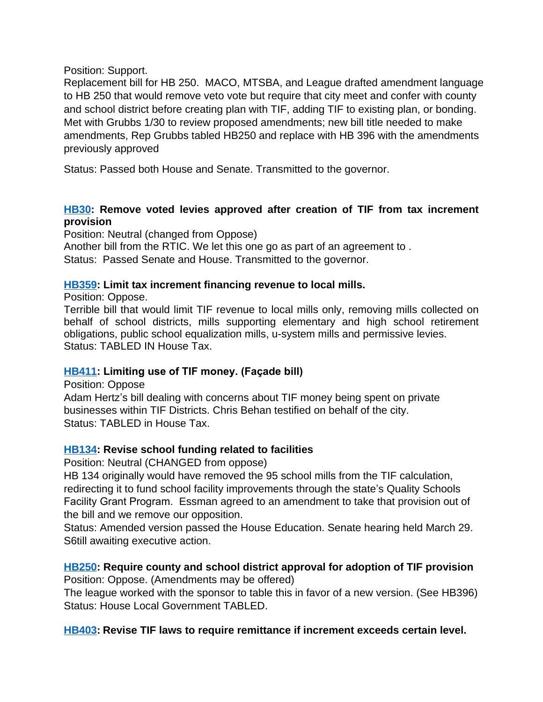#### Position: Support.

Replacement bill for HB 250. MACO, MTSBA, and League drafted amendment language to HB 250 that would remove veto vote but require that city meet and confer with county and school district before creating plan with TIF, adding TIF to existing plan, or bonding. Met with Grubbs 1/30 to review proposed amendments; new bill title needed to make amendments, Rep Grubbs tabled HB250 and replace with HB 396 with the amendments previously approved

Status: Passed both House and Senate. Transmitted to the governor.

# **[HB30:](http://laws.leg.mt.gov/legprd/LAW0210W$BSIV.ActionQuery?P_BILL_NO1=30&P_BLTP_BILL_TYP_CD=HB&Z_ACTION=Find&P_SESS=20171) Remove voted levies approved after creation of TIF from tax increment provision**

Position: Neutral (changed from Oppose)

Another bill from the RTIC. We let this one go as part of an agreement to . Status: Passed Senate and House. Transmitted to the governor.

# **[HB359](http://laws.leg.mt.gov/legprd/LAW0210W$BSIV.ActionQuery?P_BILL_NO1=359&P_BLTP_BILL_TYP_CD=HB&Z_ACTION=Find&P_SESS=20171): Limit tax increment financing revenue to local mills.**

Position: Oppose.

Terrible bill that would limit TIF revenue to local mills only, removing mills collected on behalf of school districts, mills supporting elementary and high school retirement obligations, public school equalization mills, u-system mills and permissive levies. Status: TABLED IN House Tax.

# **[HB411](http://laws.leg.mt.gov/legprd/LAW0210W$BSIV.ActionQuery?P_BILL_NO1=411&P_BLTP_BILL_TYP_CD=HB&Z_ACTION=Find&P_SESS=20171): Limiting use of TIF money. (Façade bill)**

Position: Oppose Adam Hertz's bill dealing with concerns about TIF money being spent on private businesses within TIF Districts. Chris Behan testified on behalf of the city. Status: TABLED in House Tax.

# **[HB134](http://laws.leg.mt.gov/legprd/LAW0210W$BSIV.ActionQuery?P_BILL_NO1=134&P_BLTP_BILL_TYP_CD=HB&Z_ACTION=Find&P_SESS=20171): Revise school funding related to facilities**

Position: Neutral (CHANGED from oppose)

HB 134 originally would have removed the 95 school mills from the TIF calculation, redirecting it to fund school facility improvements through the state's Quality Schools Facility Grant Program. Essman agreed to an amendment to take that provision out of the bill and we remove our opposition.

Status: Amended version passed the House Education. Senate hearing held March 29. S6till awaiting executive action.

# **[HB250](http://laws.leg.mt.gov/legprd/LAW0210W$BSIV.ActionQuery?P_BILL_NO1=250&P_BLTP_BILL_TYP_CD=HB&Z_ACTION=Find&P_SESS=20171): Require county and school district approval for adoption of TIF provision**

Position: Oppose. (Amendments may be offered)

The league worked with the sponsor to table this in favor of a new version. (See HB396) Status: House Local Government TABLED.

# **[HB403](http://laws.leg.mt.gov/legprd/LAW0210W$BSIV.ActionQuery?P_BILL_NO1=403&P_BLTP_BILL_TYP_CD=HB&Z_ACTION=Find&P_SESS=20171): Revise TIF laws to require remittance if increment exceeds certain level.**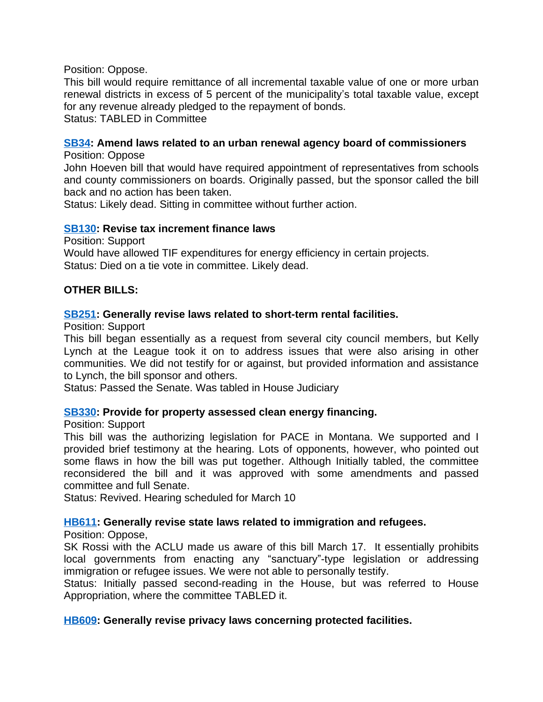#### Position: Oppose.

This bill would require remittance of all incremental taxable value of one or more urban renewal districts in excess of 5 percent of the municipality's total taxable value, except for any revenue already pledged to the repayment of bonds.

Status: TABLED in Committee

### **[SB34](http://laws.leg.mt.gov/legprd/LAW0210W$BSIV.ActionQuery?P_BILL_NO1=34&P_BLTP_BILL_TYP_CD=SB&Z_ACTION=Find&P_SESS=20171): Amend laws related to an urban renewal agency board of commissioners**

Position: Oppose

John Hoeven bill that would have required appointment of representatives from schools and county commissioners on boards. Originally passed, but the sponsor called the bill back and no action has been taken.

Status: Likely dead. Sitting in committee without further action.

#### **[SB130:](http://laws.leg.mt.gov/legprd/LAW0210W$BSIV.ActionQuery?P_BILL_NO1=130&P_BLTP_BILL_TYP_CD=SB&Z_ACTION=Find&P_SESS=20171) Revise tax increment finance laws**

Position: Support

Would have allowed TIF expenditures for energy efficiency in certain projects. Status: Died on a tie vote in committee. Likely dead.

### **OTHER BILLS:**

#### **[SB251:](http://laws.leg.mt.gov/legprd/LAW0210W$BSIV.ActionQuery?P_BILL_NO1=251&P_BLTP_BILL_TYP_CD=SB&Z_ACTION=Find&P_SESS=20171) Generally revise laws related to short-term rental facilities.**

Position: Support

This bill began essentially as a request from several city council members, but Kelly Lynch at the League took it on to address issues that were also arising in other communities. We did not testify for or against, but provided information and assistance to Lynch, the bill sponsor and others.

Status: Passed the Senate. Was tabled in House Judiciary

### **[SB330:](http://laws.leg.mt.gov/legprd/LAW0210W$BSIV.ActionQuery?P_BILL_NO1=330&P_BLTP_BILL_TYP_CD=SB&Z_ACTION=Find&P_SESS=20171) Provide for property assessed clean energy financing.**

Position: Support

This bill was the authorizing legislation for PACE in Montana. We supported and I provided brief testimony at the hearing. Lots of opponents, however, who pointed out some flaws in how the bill was put together. Although Initially tabled, the committee reconsidered the bill and it was approved with some amendments and passed committee and full Senate.

Status: Revived. Hearing scheduled for March 10

### **[HB611](http://laws.leg.mt.gov/legprd/LAW0210W$BSIV.ActionQuery?P_BILL_NO1=611&P_BLTP_BILL_TYP_CD=HB&Z_ACTION=Find&P_SESS=20171): Generally revise state laws related to immigration and refugees.**

Position: Oppose,

SK Rossi with the ACLU made us aware of this bill March 17. It essentially prohibits local governments from enacting any "sanctuary"-type legislation or addressing immigration or refugee issues. We were not able to personally testify.

Status: Initially passed second-reading in the House, but was referred to House Appropriation, where the committee TABLED it.

### **[HB609](http://laws.leg.mt.gov/legprd/LAW0210W$BSIV.ActionQuery?P_BILL_NO1=609&P_BLTP_BILL_TYP_CD=HB&Z_ACTION=Find&P_SESS=20171): Generally revise privacy laws concerning protected facilities.**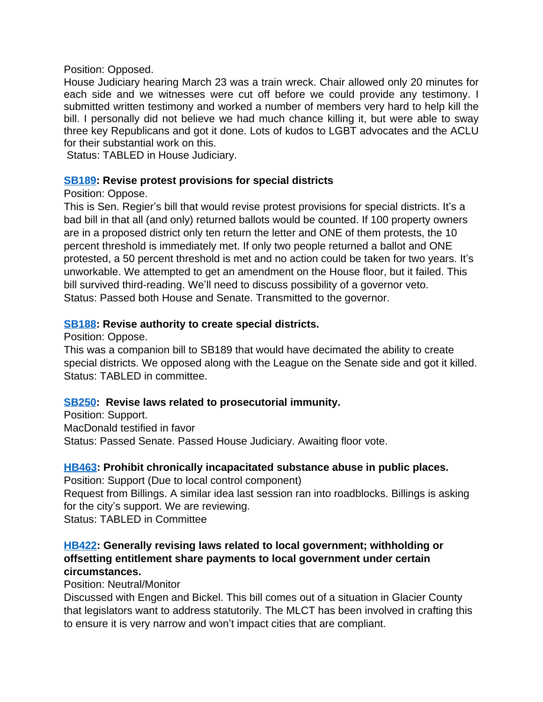#### Position: Opposed.

House Judiciary hearing March 23 was a train wreck. Chair allowed only 20 minutes for each side and we witnesses were cut off before we could provide any testimony. I submitted written testimony and worked a number of members very hard to help kill the bill. I personally did not believe we had much chance killing it, but were able to sway three key Republicans and got it done. Lots of kudos to LGBT advocates and the ACLU for their substantial work on this.

Status: TABLED in House Judiciary.

# **[SB189:](http://laws.leg.mt.gov/legprd/LAW0210W$BSIV.ActionQuery?P_BILL_NO1=189&P_BLTP_BILL_TYP_CD=SB&Z_ACTION=Find&P_SESS=20171) Revise protest provisions for special districts**

# Position: Oppose.

This is Sen. Regier's bill that would revise protest provisions for special districts. It's a bad bill in that all (and only) returned ballots would be counted. If 100 property owners are in a proposed district only ten return the letter and ONE of them protests, the 10 percent threshold is immediately met. If only two people returned a ballot and ONE protested, a 50 percent threshold is met and no action could be taken for two years. It's unworkable. We attempted to get an amendment on the House floor, but it failed. This bill survived third-reading. We'll need to discuss possibility of a governor veto. Status: Passed both House and Senate. Transmitted to the governor.

# **[SB188:](http://laws.leg.mt.gov/legprd/LAW0210W$BSIV.ActionQuery?P_BILL_NO1=188&P_BLTP_BILL_TYP_CD=SB&Z_ACTION=Find&P_SESS=20171) Revise authority to create special districts.**

Position: Oppose.

This was a companion bill to SB189 that would have decimated the ability to create special districts. We opposed along with the League on the Senate side and got it killed. Status: TABLED in committee.

# **[SB250:](http://laws.leg.mt.gov/legprd/LAW0210W$BSIV.ActionQuery?P_BILL_NO1=250&P_BLTP_BILL_TYP_CD=SB&Z_ACTION=Find&P_SESS=20171) Revise laws related to prosecutorial immunity.**

Position: Support. MacDonald testified in favor Status: Passed Senate. Passed House Judiciary. Awaiting floor vote.

# **[HB463](http://laws.leg.mt.gov/legprd/LAW0210W$BSIV.ActionQuery?P_BILL_NO1=463&P_BLTP_BILL_TYP_CD=HB&Z_ACTION=Find&P_SESS=20171): Prohibit chronically incapacitated substance abuse in public places.**

Position: Support (Due to local control component) Request from Billings. A similar idea last session ran into roadblocks. Billings is asking for the city's support. We are reviewing. Status: TABLED in Committee

# **[HB422](http://laws.leg.mt.gov/legprd/LAW0210W$BSIV.ActionQuery?P_BILL_NO1=422&P_BLTP_BILL_TYP_CD=HB&Z_ACTION=Find&P_SESS=20171): Generally revising laws related to local government; withholding or offsetting entitlement share payments to local government under certain circumstances.**

# Position: Neutral/Monitor

Discussed with Engen and Bickel. This bill comes out of a situation in Glacier County that legislators want to address statutorily. The MLCT has been involved in crafting this to ensure it is very narrow and won't impact cities that are compliant.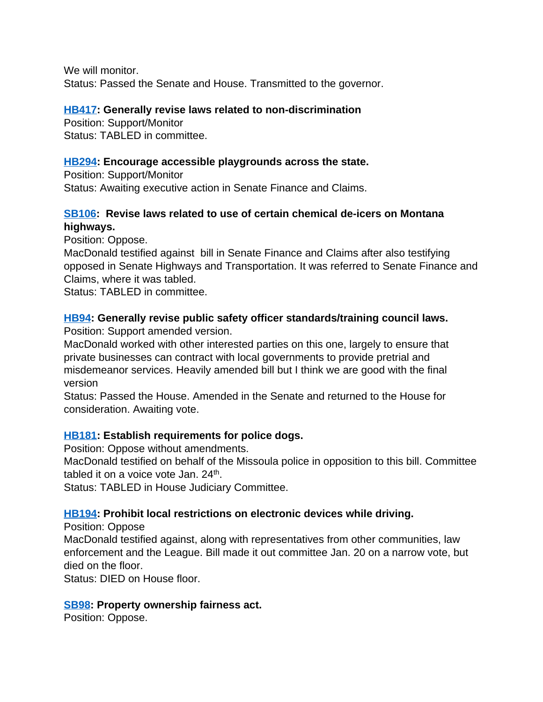We will monitor. Status: Passed the Senate and House. Transmitted to the governor.

### **[HB417](http://laws.leg.mt.gov/legprd/LAW0210W$BSIV.ActionQuery?P_BILL_NO1=417&P_BLTP_BILL_TYP_CD=HB&Z_ACTION=Find&P_SESS=20171): Generally revise laws related to non-discrimination**

Position: Support/Monitor Status: TABLED in committee.

# **[HB294](http://laws.leg.mt.gov/legprd/LAW0210W$BSIV.ActionQuery?P_BILL_NO1=294&P_BLTP_BILL_TYP_CD=HB&Z_ACTION=Find&P_SESS=20171): Encourage accessible playgrounds across the state.**

Position: Support/Monitor Status: Awaiting executive action in Senate Finance and Claims.

# **[SB106:](http://laws.leg.mt.gov/legprd/LAW0210W$BSIV.ActionQuery?P_BILL_NO1=106&P_BLTP_BILL_TYP_CD=SB&Z_ACTION=Find&P_SESS=20171) Revise laws related to use of certain chemical de-icers on Montana highways.**

Position: Oppose.

MacDonald testified against bill in Senate Finance and Claims after also testifying opposed in Senate Highways and Transportation. It was referred to Senate Finance and Claims, where it was tabled.

Status: TABLED in committee.

# **[HB94:](http://laws.leg.mt.gov/legprd/LAW0210W$BSIV.ActionQuery?P_BILL_NO1=94&P_BLTP_BILL_TYP_CD=HB&Z_ACTION=Find&P_SESS=20171) Generally revise public safety officer standards/training council laws.**

Position: Support amended version.

MacDonald worked with other interested parties on this one, largely to ensure that private businesses can contract with local governments to provide pretrial and misdemeanor services. Heavily amended bill but I think we are good with the final version

Status: Passed the House. Amended in the Senate and returned to the House for consideration. Awaiting vote.

# **[HB181](http://laws.leg.mt.gov/legprd/LAW0210W$BSIV.ActionQuery?P_BILL_NO1=181&P_BLTP_BILL_TYP_CD=HB&Z_ACTION=Find&P_SESS=20171): Establish requirements for police dogs.**

Position: Oppose without amendments.

MacDonald testified on behalf of the Missoula police in opposition to this bill. Committee tabled it on a voice vote Jan. 24<sup>th</sup>.

Status: TABLED in House Judiciary Committee.

# **[HB194](http://laws.leg.mt.gov/legprd/LAW0210W$BSIV.ActionQuery?P_BILL_NO1=194&P_BLTP_BILL_TYP_CD=HB&Z_ACTION=Find&P_SESS=20171): Prohibit local restrictions on electronic devices while driving.**

Position: Oppose

MacDonald testified against, along with representatives from other communities, law enforcement and the League. Bill made it out committee Jan. 20 on a narrow vote, but died on the floor.

Status: DIED on House floor.

# **[SB98](http://laws.leg.mt.gov/legprd/LAW0210W$BSIV.ActionQuery?P_BILL_NO1=98&P_BLTP_BILL_TYP_CD=SB&Z_ACTION=Find&P_SESS=20171): Property ownership fairness act.**

Position: Oppose.